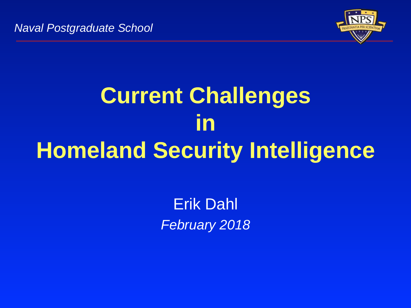

# **Current Challenges in Homeland Security Intelligence**

Erik Dahl February 2018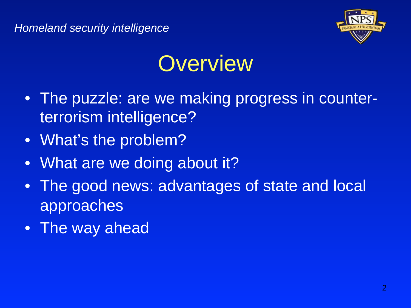

## **Overview**

- The puzzle: are we making progress in counterterrorism intelligence?
- What's the problem?
- What are we doing about it?
- The good news: advantages of state and local approaches
- The way ahead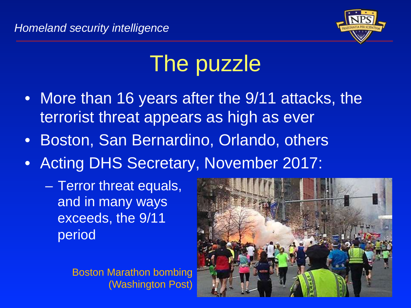

# The puzzle

- More than 16 years after the 9/11 attacks, the terrorist threat appears as high as ever
- Boston, San Bernardino, Orlando, others
- Acting DHS Secretary, November 2017:
	- Terror threat equals, and in many ways exceeds, the 9/11 period

Boston Marathon bombing (Washington Post)

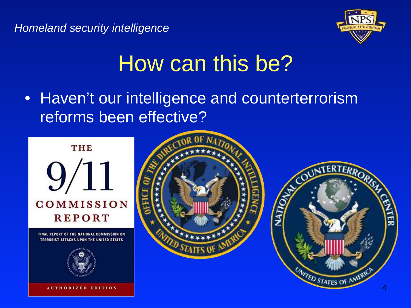

## How can this be?

• Haven't our intelligence and counterterrorism reforms been effective?



TERRORIST ATTACKS UPON THE UNITED STATES



**AUTHORIZED EDITION** 



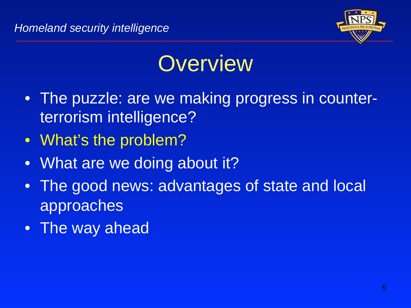

## **Overview**

- The puzzle: are we making progress in counterterrorism intelligence?
- What's the problem?
- What are we doing about it?
- The good news: advantages of state and local approaches
- The way ahead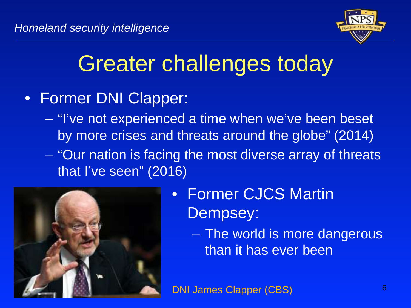

# Greater challenges today

- Former DNI Clapper:
	- "I've not experienced a time when we've been beset by more crises and threats around the globe" (2014)
	- "Our nation is facing the most diverse array of threats that I've seen" (2016)



- Former CJCS Martin Dempsey:
	- The world is more dangerous than it has ever been

DNI James Clapper (CBS) 6 (6) 6 (6) 6 (6) 6 (6) 6 (6) 6 (6) 6 (6) 6 (6) 6 (6) 6 (6) 6 (6) 6 (6) 6 (6) 6 (6) 6 (6) 6 (6) 6 (6) 6 (6) 6 (6) 6 (6) 6 (6) 6 (6) 6 (6) 6 (6) 6 (6) 6 (6) 6 (6) 6 (6) 6 (6) 6 (6) 6 (6) 6 (6) 6 (6)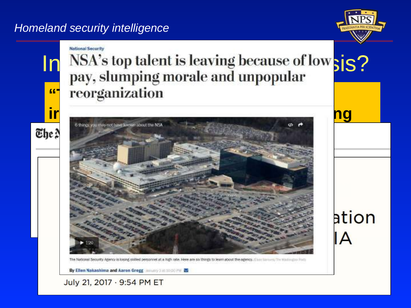#### Homeland security intelligence



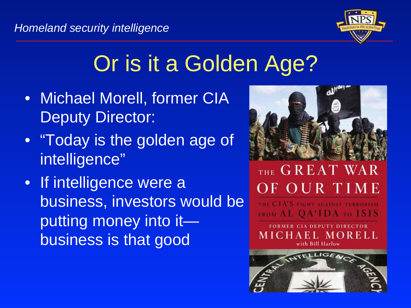

# Or is it a Golden Age?

- Michael Morell, former CIA Deputy Director:
- "Today is the golden age of intelligence"
- If intelligence were a business, investors would be putting money into it business is that good



### THE GREAT WAR OF OUR TIME

A'S FIGHT AGAINST TERRORISM **FROM AL OA'IDA TO ISIS** 

**FORMER CIA DEPUTY DIRECTOR** MICHAEL MORELL with Bill Harlow

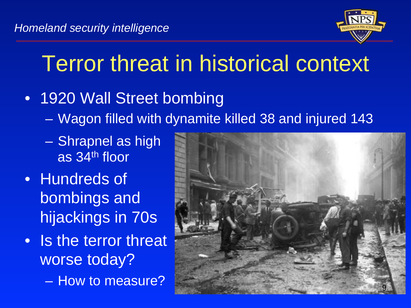

# Terror threat in historical context

- 1920 Wall Street bombing
	- Wagon filled with dynamite killed 38 and injured 143
	- Shrapnel as high as 34th floor
- Hundreds of bombings and hijackings in 70s
- Is the terror threat worse today?
	- How to measure?

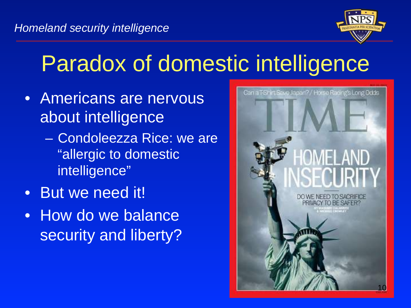

# Paradox of domestic intelligence

- Americans are nervous about intelligence
	- Condoleezza Rice: we are "allergic to domestic intelligence"
- But we need it!
- How do we balance security and liberty?

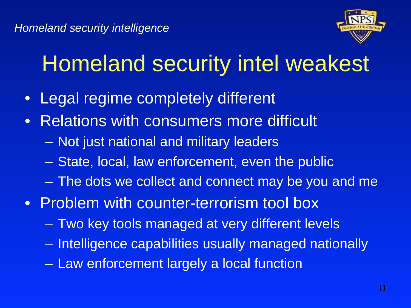

# Homeland security intel weakest

- Legal regime completely different
- Relations with consumers more difficult
	- Not just national and military leaders
	- State, local, law enforcement, even the public
	- The dots we collect and connect may be you and me
- Problem with counter-terrorism tool box
	- Two key tools managed at very different levels
	- Intelligence capabilities usually managed nationally
	- Law enforcement largely a local function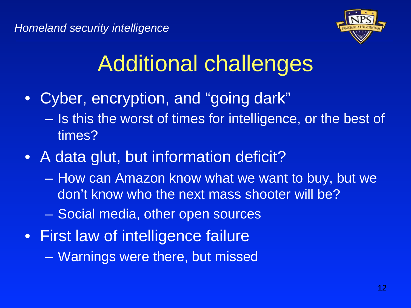

# Additional challenges

- Cyber, encryption, and "going dark"
	- Is this the worst of times for intelligence, or the best of times?
- A data glut, but information deficit?
	- How can Amazon know what we want to buy, but we don't know who the next mass shooter will be?
	- Social media, other open sources
- First law of intelligence failure
	- Warnings were there, but missed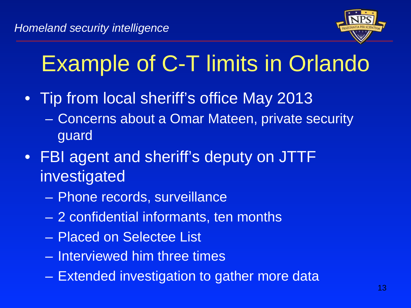

# Example of C-T limits in Orlando

- Tip from local sheriff's office May 2013
	- Concerns about a Omar Mateen, private security guard
- FBI agent and sheriff's deputy on JTTF investigated
	- Phone records, surveillance
	- 2 confidential informants, ten months
	- Placed on Selectee List
	- Interviewed him three times
	- Extended investigation to gather more data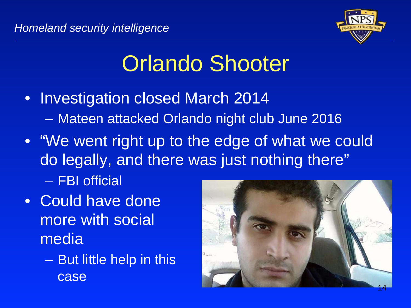

# Orlando Shooter

- Investigation closed March 2014 – Mateen attacked Orlando night club June 2016
- "We went right up to the edge of what we could do legally, and there was just nothing there"
	- FBI official
- Could have done more with social media
	- But little help in this case

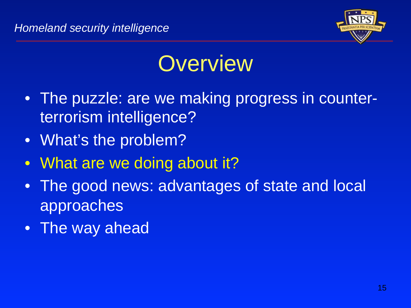

### **Overview**

- The puzzle: are we making progress in counterterrorism intelligence?
- What's the problem?
- What are we doing about it?
- The good news: advantages of state and local approaches
- The way ahead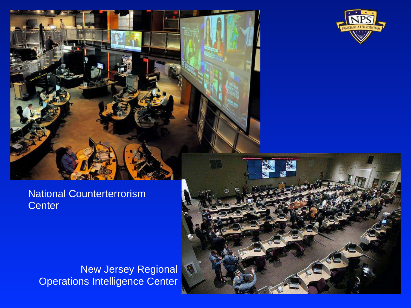

#### National Counterterrorism **Center**

New Jersey Regional Operations Intelligence Center

<u>Intelligence from Pearl Harbor to Today and Today and Today and Today and Today and Today and Today and Today and</u>

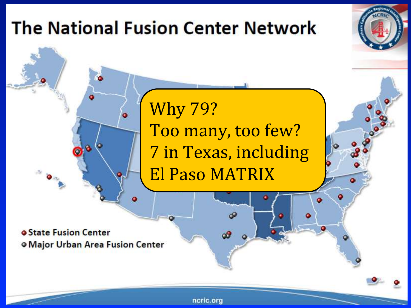

ncric.org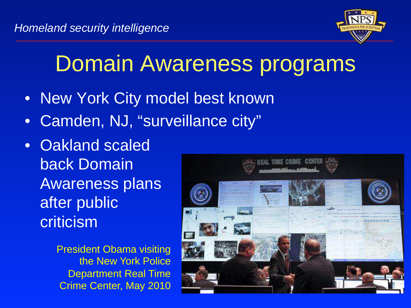

### Domain Awareness programs

- New York City model best known
- Camden, NJ, "surveillance city"
- Oakland scaled back Domain Awareness plans after public criticism
	- President Obama visiting the New York Police Department Real Time Crime Center, May 2010

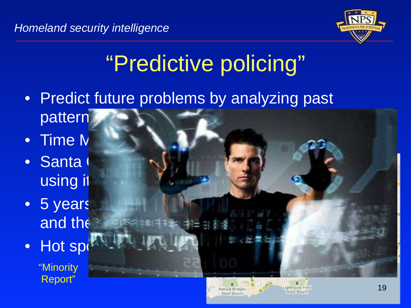

19

# "Predictive policing"

- Predict future problems by analyzing past pattern
- $\bullet$  Time  $N$
- Santa using it
- 5 years and the
- Hot sp

"Minority Report"



**Killythouse Field** 

state Beach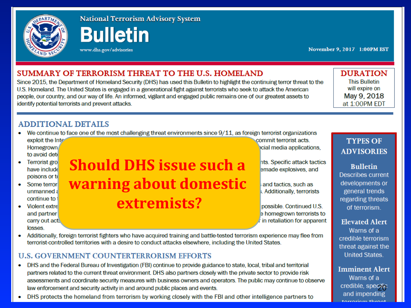

**National Terrorism Advisory System** 

**Bulletin** 

www.dhs.gov/advisories

November 9, 2017 1:00PM EST

#### **SUMMARY OF TERRORISM THREAT TO THE U.S. HOMELAND**

Since 2015, the Department of Homeland Security (DHS) has used this Bulletin to highlight the continuing terror threat to the U.S. Homeland. The United States is engaged in a generational fight against terrorists who seek to attack the American people, our country, and our way of life. An informed, vigilant and engaged public remains one of our greatest assets to identify potential terrorists and prevent attacks.

**DURATION This Bulletin** will expire on May 9, 2018 at 1:00PM EDT

#### **ADDITIONAL DETAILS**

We continue to face one of the most challenging threat environments since  $9/11$ , as foreign terrorist organizations

exploit the Inte **Homegrown** to avoid det

- Terrorist gro have include poisons or to
- Some terror unmanned: continue to
- **Violent extre** and partner carry out act. losses.

**Should DHS issue such a warning about domestic extremists?** 

commit terrorist acts. cial media applications,

nts. Specific attack tactics emade explosives, and

and tactics, such as . Additionally, terrorists

possible, Continued U.S. e homegrown terrorists to in retaliation for apparent

Additionally, foreign terrorist fighters who have acquired training and battle-tested terrorism experience may flee from  $\bullet$ terrorist-controlled territories with a desire to conduct attacks elsewhere, including the United States.

#### **U.S. GOVERNMENT COUNTERTERRORISM EFFORTS**

- DHS and the Federal Bureau of Investigation (FBI) continue to provide guidance to state, local, tribal and territorial partners related to the current threat environment. DHS also partners closely with the private sector to provide risk assessments and coordinate security measures with business owners and operators. The public may continue to observe law enforcement and security activity in and around public places and events.
- DHS protects the homeland from terrorism by working closely with the FBI and other intelligence partners to

#### **TYPES OF ADVISORIES**

**Bulletin Describes current** developments or general trends regarding threats of terrorism.

**Elevated Alert** 

Warns of a credible terrorism threat against the **United States.** 

**Imminent Alert** Warns of a credible, specific<br>and impending torroriom throat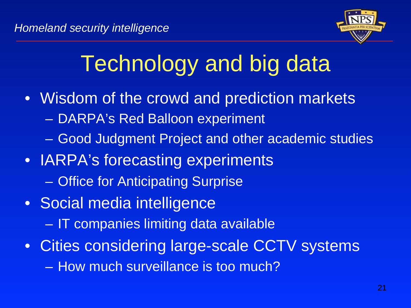

# Technology and big data

- Wisdom of the crowd and prediction markets
	- DARPA's Red Balloon experiment
	- Good Judgment Project and other academic studies
- IARPA's forecasting experiments – Office for Anticipating Surprise
- Social media intelligence
	- IT companies limiting data available
- Cities considering large-scale CCTV systems
	- How much surveillance is too much?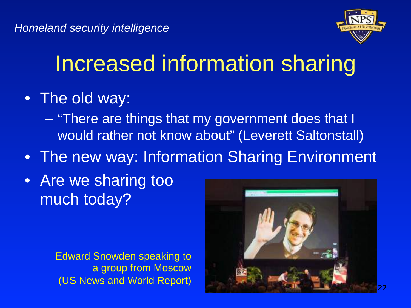

# Increased information sharing

- The old way:
	- "There are things that my government does that I would rather not know about" (Leverett Saltonstall)
- The new way: Information Sharing Environment
- Are we sharing too much today?

Edward Snowden speaking to a group from Moscow (US News and World Report)

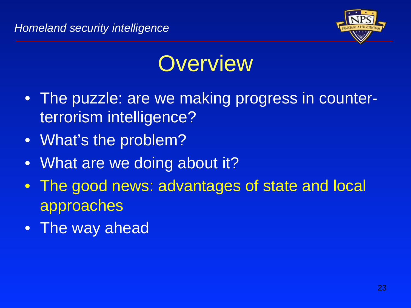

## **Overview**

- The puzzle: are we making progress in counterterrorism intelligence?
- What's the problem?
- What are we doing about it?
- The good news: advantages of state and local approaches
- The way ahead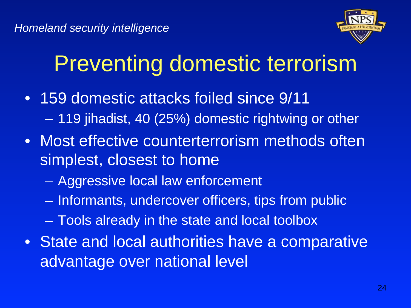

# Preventing domestic terrorism

- 159 domestic attacks foiled since 9/11 – 119 jihadist, 40 (25%) domestic rightwing or other
- Most effective counterterrorism methods often simplest, closest to home
	- Aggressive local law enforcement
	- Informants, undercover officers, tips from public
	- Tools already in the state and local toolbox
- State and local authorities have a comparative advantage over national level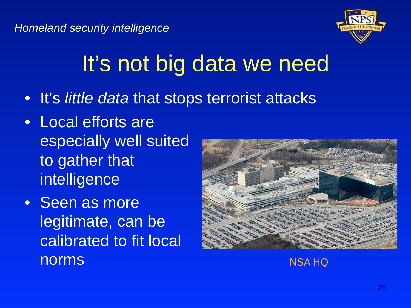

# It's not big data we need

- It's little data that stops terrorist attacks
- Local efforts are especially well suited to gather that intelligence
- Seen as more legitimate, can be calibrated to fit local norms NSA HQ

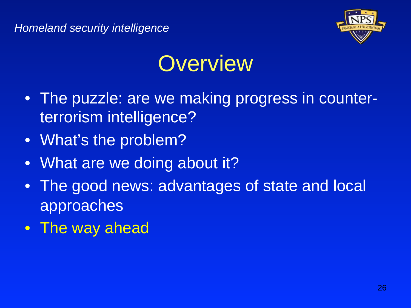

## **Overview**

- The puzzle: are we making progress in counterterrorism intelligence?
- What's the problem?
- What are we doing about it?
- The good news: advantages of state and local approaches
- The way ahead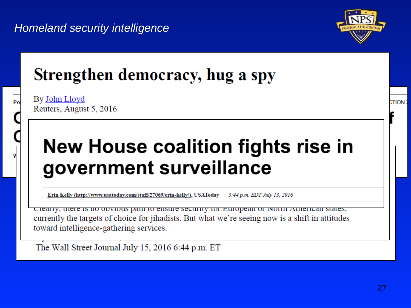

**CTION:** 

### Strengthen democracy, hug a spy

By John Lloyd Reuters, August 5, 2016

Po

### New House coalition fights rise in government surveillance

Erin Kelly (http://www.usatoday.com/staff/27069/erin-kelly/), USAToday 3:44 p.m. EDT July 13, 2016

Clearly, there is no obvious path to ensure security for European or ivorul American states, currently the targets of choice for jihadists. But what we're seeing now is a shift in attitudes toward intelligence-gathering services.

The Wall Street Journal July 15, 2016 6:44 p.m. ET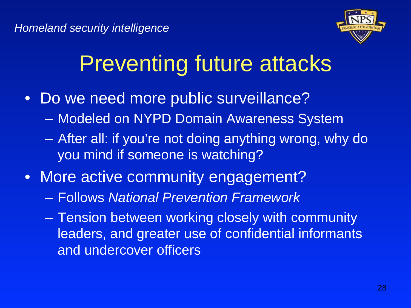

# Preventing future attacks

- Do we need more public surveillance?
	- Modeled on NYPD Domain Awareness System
	- After all: if you're not doing anything wrong, why do you mind if someone is watching?
- More active community engagement?
	- Follows National Prevention Framework
	- Tension between working closely with community leaders, and greater use of confidential informants and undercover officers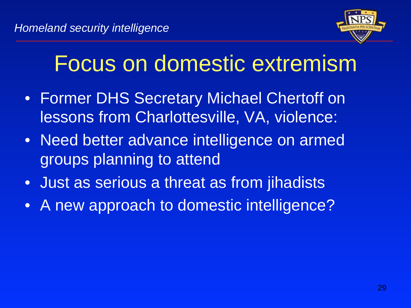

## Focus on domestic extremism

- Former DHS Secretary Michael Chertoff on lessons from Charlottesville, VA, violence:
- Need better advance intelligence on armed groups planning to attend
- Just as serious a threat as from jihadists
- A new approach to domestic intelligence?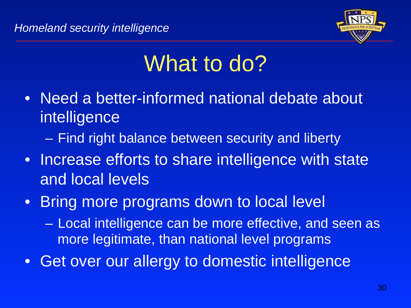

# What to do?

- Need a better-informed national debate about intelligence
	- Find right balance between security and liberty
- Increase efforts to share intelligence with state and local levels
- Bring more programs down to local level
	- Local intelligence can be more effective, and seen as more legitimate, than national level programs
- Get over our allergy to domestic intelligence